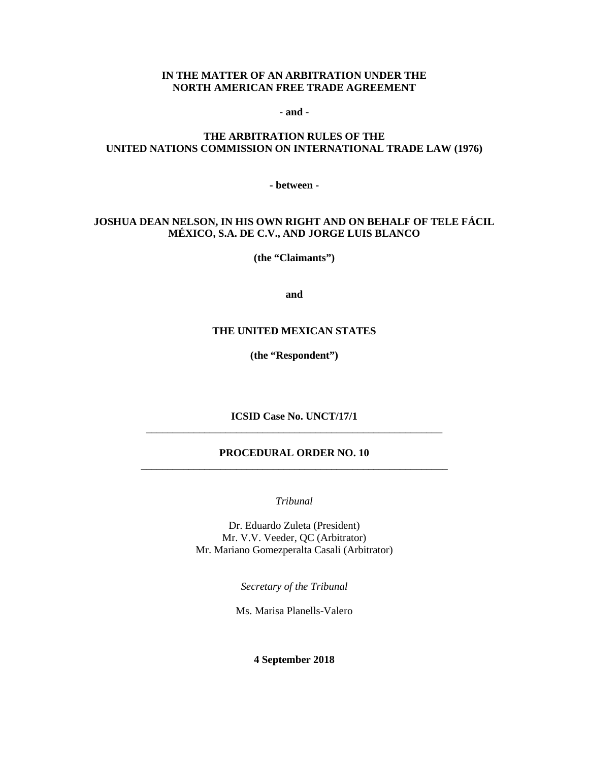#### **IN THE MATTER OF AN ARBITRATION UNDER THE NORTH AMERICAN FREE TRADE AGREEMENT**

**- and -**

### **THE ARBITRATION RULES OF THE UNITED NATIONS COMMISSION ON INTERNATIONAL TRADE LAW (1976)**

**- between -**

### **JOSHUA DEAN NELSON, IN HIS OWN RIGHT AND ON BEHALF OF TELE FÁCIL MÉXICO, S.A. DE C.V., AND JORGE LUIS BLANCO**

**(the "Claimants")**

**and**

#### **THE UNITED MEXICAN STATES**

**(the "Respondent")**

**ICSID Case No. UNCT/17/1** \_\_\_\_\_\_\_\_\_\_\_\_\_\_\_\_\_\_\_\_\_\_\_\_\_\_\_\_\_\_\_\_\_\_\_\_\_\_\_\_\_\_\_\_\_\_\_\_\_\_\_\_\_\_\_\_

### **PROCEDURAL ORDER NO. 10** \_\_\_\_\_\_\_\_\_\_\_\_\_\_\_\_\_\_\_\_\_\_\_\_\_\_\_\_\_\_\_\_\_\_\_\_\_\_\_\_\_\_\_\_\_\_\_\_\_\_\_\_\_\_\_\_\_\_

*Tribunal*

Dr. Eduardo Zuleta (President) Mr. V.V. Veeder, QC (Arbitrator) Mr. Mariano Gomezperalta Casali (Arbitrator)

*Secretary of the Tribunal*

Ms. Marisa Planells-Valero

**4 September 2018**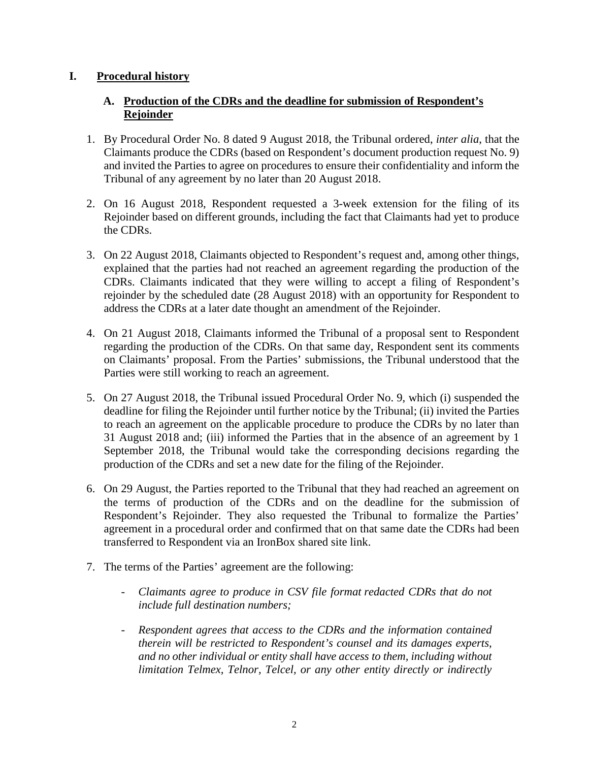# **I. Procedural history**

# **A. Production of the CDRs and the deadline for submission of Respondent's Rejoinder**

- 1. By Procedural Order No. 8 dated 9 August 2018, the Tribunal ordered, *inter alia*, that the Claimants produce the CDRs (based on Respondent's document production request No. 9) and invited the Parties to agree on procedures to ensure their confidentiality and inform the Tribunal of any agreement by no later than 20 August 2018.
- 2. On 16 August 2018, Respondent requested a 3-week extension for the filing of its Rejoinder based on different grounds, including the fact that Claimants had yet to produce the CDRs.
- 3. On 22 August 2018, Claimants objected to Respondent's request and, among other things, explained that the parties had not reached an agreement regarding the production of the CDRs. Claimants indicated that they were willing to accept a filing of Respondent's rejoinder by the scheduled date (28 August 2018) with an opportunity for Respondent to address the CDRs at a later date thought an amendment of the Rejoinder.
- 4. On 21 August 2018, Claimants informed the Tribunal of a proposal sent to Respondent regarding the production of the CDRs. On that same day, Respondent sent its comments on Claimants' proposal. From the Parties' submissions, the Tribunal understood that the Parties were still working to reach an agreement.
- 5. On 27 August 2018, the Tribunal issued Procedural Order No. 9, which (i) suspended the deadline for filing the Rejoinder until further notice by the Tribunal; (ii) invited the Parties to reach an agreement on the applicable procedure to produce the CDRs by no later than 31 August 2018 and; (iii) informed the Parties that in the absence of an agreement by 1 September 2018, the Tribunal would take the corresponding decisions regarding the production of the CDRs and set a new date for the filing of the Rejoinder.
- 6. On 29 August, the Parties reported to the Tribunal that they had reached an agreement on the terms of production of the CDRs and on the deadline for the submission of Respondent's Rejoinder. They also requested the Tribunal to formalize the Parties' agreement in a procedural order and confirmed that on that same date the CDRs had been transferred to Respondent via an IronBox shared site link.
- 7. The terms of the Parties' agreement are the following:
	- *Claimants agree to produce in CSV file format redacted CDRs that do not include full destination numbers;*
	- *Respondent agrees that access to the CDRs and the information contained therein will be restricted to Respondent's counsel and its damages experts, and no other individual or entity shall have access to them, including without limitation Telmex, Telnor, Telcel, or any other entity directly or indirectly*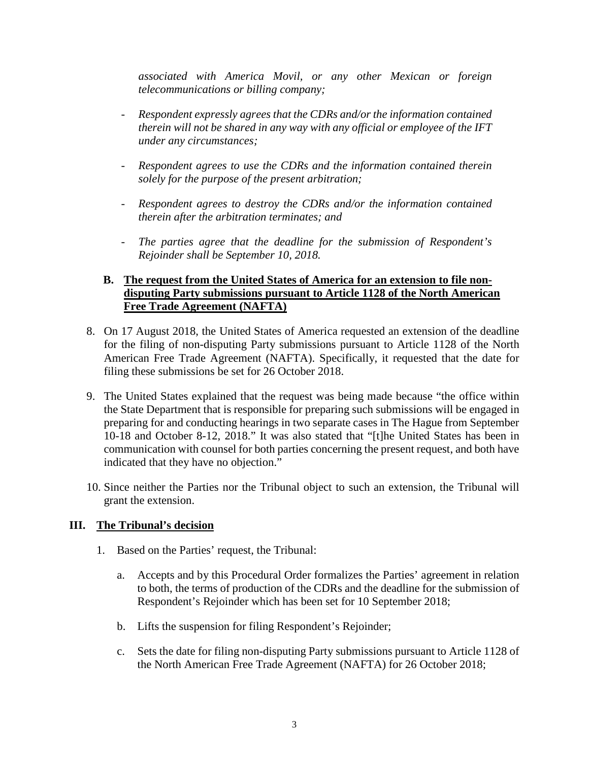*associated with America Movil, or any other Mexican or foreign telecommunications or billing company;*

- *Respondent expressly agrees that the CDRs and/or the information contained therein will not be shared in any way with any official or employee of the IFT under any circumstances;*
- *Respondent agrees to use the CDRs and the information contained therein solely for the purpose of the present arbitration;*
- *Respondent agrees to destroy the CDRs and/or the information contained therein after the arbitration terminates; and*
- The parties agree that the deadline for the submission of Respondent's *Rejoinder shall be September 10, 2018.*

## **B. The request from the United States of America for an extension to file nondisputing Party submissions pursuant to Article 1128 of the North American Free Trade Agreement (NAFTA)**

- 8. On 17 August 2018, the United States of America requested an extension of the deadline for the filing of non-disputing Party submissions pursuant to Article 1128 of the North American Free Trade Agreement (NAFTA). Specifically, it requested that the date for filing these submissions be set for 26 October 2018.
- 9. The United States explained that the request was being made because "the office within the State Department that is responsible for preparing such submissions will be engaged in preparing for and conducting hearings in two separate cases in The Hague from September 10-18 and October 8-12, 2018." It was also stated that "[t]he United States has been in communication with counsel for both parties concerning the present request, and both have indicated that they have no objection."
- 10. Since neither the Parties nor the Tribunal object to such an extension, the Tribunal will grant the extension.

### **III. The Tribunal's decision**

- 1. Based on the Parties' request, the Tribunal:
	- a. Accepts and by this Procedural Order formalizes the Parties' agreement in relation to both, the terms of production of the CDRs and the deadline for the submission of Respondent's Rejoinder which has been set for 10 September 2018;
	- b. Lifts the suspension for filing Respondent's Rejoinder;
	- c. Sets the date for filing non-disputing Party submissions pursuant to Article 1128 of the North American Free Trade Agreement (NAFTA) for 26 October 2018;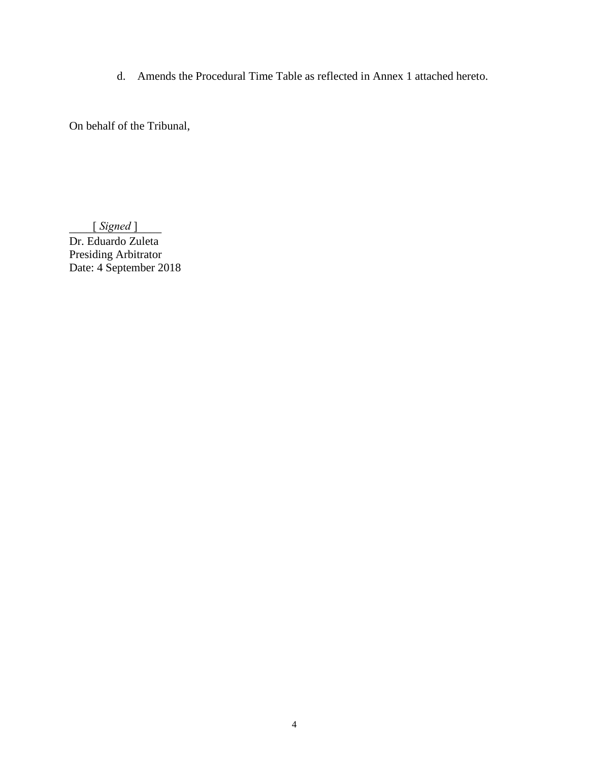d. Amends the Procedural Time Table as reflected in Annex 1 attached hereto.

On behalf of the Tribunal,

\_\_\_\_\_\_\_\_\_\_\_\_\_\_\_\_ [ *Signed* ]

Dr. Eduardo Zuleta Presiding Arbitrator Date: 4 September 2018